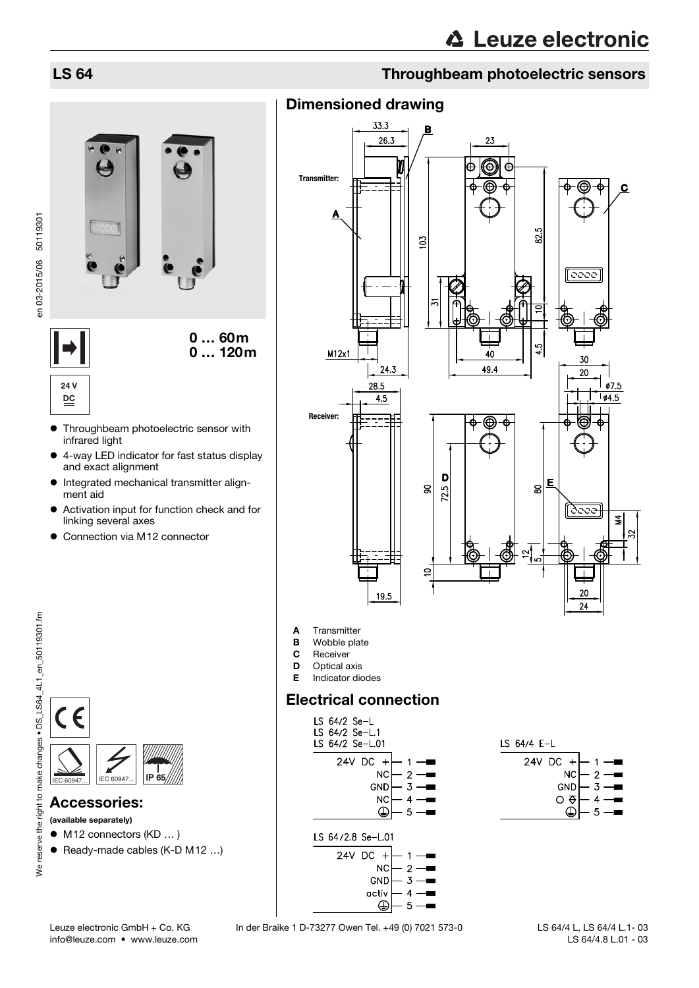## LS 64 Throughbeam photoelectric sensors

# Dimensioned drawing



**24 V**



- Throughbeam photoelectric sensor with **DC**
- infrared light 4-way LED indicator for fast status display
- and exact alignment
- $\bullet$  Integrated mechanical transmitter alignment aid
- Activation input for function check and for linking several axes
- Connection via M12 connector





### Accessories:

- (available separately)
- M12 connectors (KD ... )
- Ready-made cables (K-D M12 ...)

We reserve the right to make changes . DS\_LS64\_4L1\_en\_50119301.fm We reserve the right to make changes • DS\_LS64\_4L1\_en\_50119301.fm

# info@leuze.com • www.leuze.com

Leuze electronic GmbH + Co. KG In der Braike 1 D-73277 Owen Tel. +49 (0) 7021 573-0

 LS 64/4 L, LS 64/4 L.1- 03 LS 64/4.8 L.01 - 03